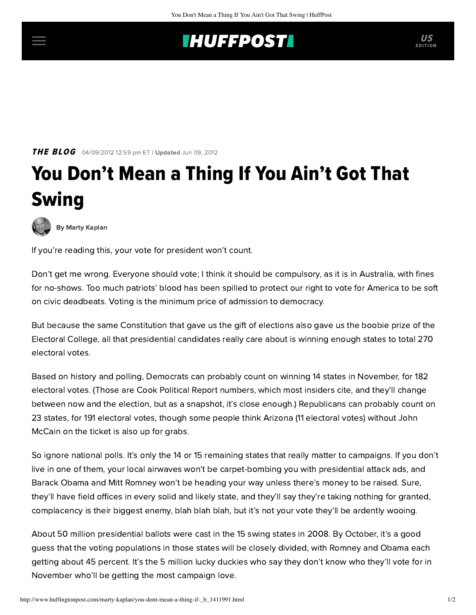## **INUFFPOST**

**THE BLOG** 04/09/2012 12:59 pm ET | Updated Jun 09, 2012

## You Don't Mean a Thing If You Ain't Got That Swing



[By Marty Kaplan](http://www.huffingtonpost.com/author/marty-kaplan)

If you're reading this, your vote for president won't count.

Don't get me wrong. Everyone should vote; I think it should be compulsory, as it is in Australia, with fines for no-shows. Too much patriots' blood has been spilled to protect our right to vote for America to be soft on civic deadbeats. Voting is the minimum price of admission to democracy.

But because the same Constitution that gave us the gift of elections also gave us the boobie prize of the Electoral College, all that presidential candidates really care about is winning enough states to total 270 electoral votes.

Based on history and polling, Democrats can probably count on winning 14 states in November, for 182 electoral votes. (Those are [Cook Political Report](http://cookpolitical.com/charts/president/ev_scorecard_2012-02-23_07-56-34.php) numbers, which most insiders cite, and they'll change between now and the election, but as a snapshot, it's close enough.) Republicans can probably count on 23 states, for 191 electoral votes, though some people think Arizona (11 electoral votes) without John McCain on the ticket is also up for grabs.

So ignore national polls. It's only the 14 or 15 remaining states that really matter to campaigns. If you don't live in one of them, your local airwaves won't be carpet-bombing you with presidential attack ads, and Barack Obama and Mitt Romney won't be heading your way unless there's money to be raised. Sure, they'll have field offices in every solid and likely state, and they'll say they're taking nothing for granted, complacency is their biggest enemy, blah blah blah, but it's not your vote they'll be ardently wooing.

About [50 million](http://www.census.gov/compendia/statab/2012/tables/12s0398.pdf) presidential ballots were cast in the 15 swing states in 2008. By October, it's a good guess that the voting populations in those states will be closely divided, with Romney and Obama each getting about 45 percent. It's the 5 million lucky duckies who say they don't know who they'll vote for in November who'll be getting the most campaign love.